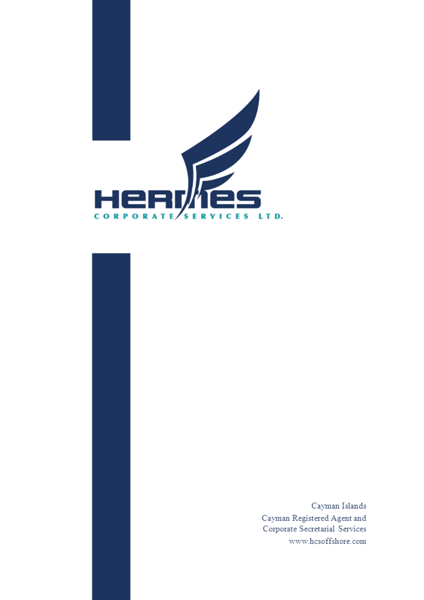

 $\rm Cayman$  Islands Cayman Registered Agent and Corporate Secretarial Services www.hcsoffshore.com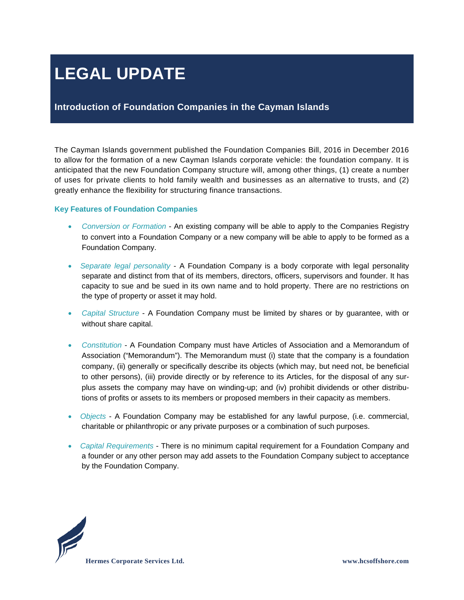# **LEGAL UPDATE**

### **Introduction of Foundation Companies in the Cayman Islands**

The Cayman Islands government published the Foundation Companies Bill, 2016 in December 2016 to allow for the formation of a new Cayman Islands corporate vehicle: the foundation company. It is anticipated that the new Foundation Company structure will, among other things, (1) create a number of uses for private clients to hold family wealth and businesses as an alternative to trusts, and (2) greatly enhance the flexibility for structuring finance transactions.

#### **Key Features of Foundation Companies**

- *Conversion or Formation* An existing company will be able to apply to the Companies Registry to convert into a Foundation Company or a new company will be able to apply to be formed as a Foundation Company.
- *Separate legal personality* A Foundation Company is a body corporate with legal personality separate and distinct from that of its members, directors, officers, supervisors and founder. It has capacity to sue and be sued in its own name and to hold property. There are no restrictions on the type of property or asset it may hold.
- *Capital Structure*  A Foundation Company must be limited by shares or by guarantee, with or without share capital.
- *Constitution*  A Foundation Company must have Articles of Association and a Memorandum of Association ("Memorandum"). The Memorandum must (i) state that the company is a foundation company, (ii) generally or specifically describe its objects (which may, but need not, be beneficial to other persons), (iii) provide directly or by reference to its Articles, for the disposal of any surplus assets the company may have on winding-up; and (iv) prohibit dividends or other distributions of profits or assets to its members or proposed members in their capacity as members.
- *Objects*  A Foundation Company may be established for any lawful purpose, (i.e. commercial, charitable or philanthropic or any private purposes or a combination of such purposes.
- *Capital Requirements*  There is no minimum capital requirement for a Foundation Company and a founder or any other person may add assets to the Foundation Company subject to acceptance by the Foundation Company.

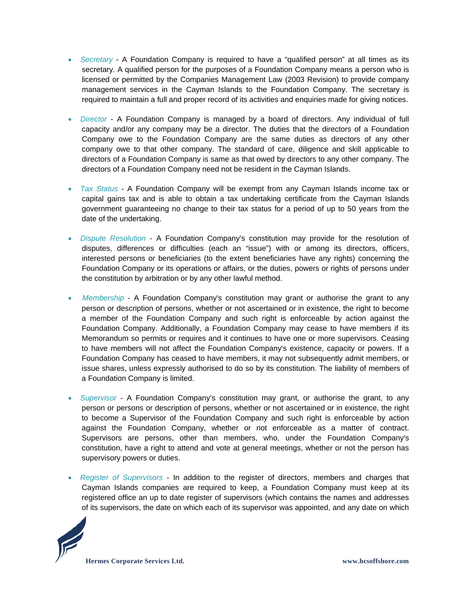- *Secretary*  A Foundation Company is required to have a "qualified person" at all times as its secretary. A qualified person for the purposes of a Foundation Company means a person who is licensed or permitted by the Companies Management Law (2003 Revision) to provide company management services in the Cayman Islands to the Foundation Company. The secretary is required to maintain a full and proper record of its activities and enquiries made for giving notices.
- *Director*  A Foundation Company is managed by a board of directors. Any individual of full capacity and/or any company may be a director. The duties that the directors of a Foundation Company owe to the Foundation Company are the same duties as directors of any other company owe to that other company. The standard of care, diligence and skill applicable to directors of a Foundation Company is same as that owed by directors to any other company. The directors of a Foundation Company need not be resident in the Cayman Islands.
- *Tax Status*  A Foundation Company will be exempt from any Cayman Islands income tax or capital gains tax and is able to obtain a tax undertaking certificate from the Cayman Islands government guaranteeing no change to their tax status for a period of up to 50 years from the date of the undertaking.
- *Dispute Resolution*  A Foundation Company's constitution may provide for the resolution of disputes, differences or difficulties (each an "issue") with or among its directors, officers, interested persons or beneficiaries (to the extent beneficiaries have any rights) concerning the Foundation Company or its operations or affairs, or the duties, powers or rights of persons under the constitution by arbitration or by any other lawful method.
- *Membership*  A Foundation Company's constitution may grant or authorise the grant to any person or description of persons, whether or not ascertained or in existence, the right to become a member of the Foundation Company and such right is enforceable by action against the Foundation Company. Additionally, a Foundation Company may cease to have members if its Memorandum so permits or requires and it continues to have one or more supervisors. Ceasing to have members will not affect the Foundation Company's existence, capacity or powers. If a Foundation Company has ceased to have members, it may not subsequently admit members, or issue shares, unless expressly authorised to do so by its constitution. The liability of members of a Foundation Company is limited.
- *Supervisor*  A Foundation Company's constitution may grant, or authorise the grant, to any person or persons or description of persons, whether or not ascertained or in existence, the right to become a Supervisor of the Foundation Company and such right is enforceable by action against the Foundation Company, whether or not enforceable as a matter of contract. Supervisors are persons, other than members, who, under the Foundation Company's constitution, have a right to attend and vote at general meetings, whether or not the person has supervisory powers or duties.
- *Register of Supervisors*  In addition to the register of directors, members and charges that Cayman Islands companies are required to keep, a Foundation Company must keep at its registered office an up to date register of supervisors (which contains the names and addresses of its supervisors, the date on which each of its supervisor was appointed, and any date on which

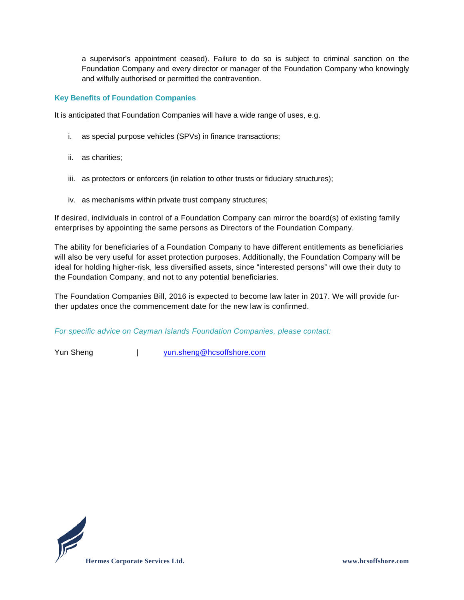a supervisor's appointment ceased). Failure to do so is subject to criminal sanction on the Foundation Company and every director or manager of the Foundation Company who knowingly and wilfully authorised or permitted the contravention.

#### **Key Benefits of Foundation Companies**

It is anticipated that Foundation Companies will have a wide range of uses, e.g.

- i. as special purpose vehicles (SPVs) in finance transactions;
- ii. as charities;
- iii. as protectors or enforcers (in relation to other trusts or fiduciary structures);
- iv. as mechanisms within private trust company structures;

If desired, individuals in control of a Foundation Company can mirror the board(s) of existing family enterprises by appointing the same persons as Directors of the Foundation Company.

The ability for beneficiaries of a Foundation Company to have different entitlements as beneficiaries will also be very useful for asset protection purposes. Additionally, the Foundation Company will be ideal for holding higher-risk, less diversified assets, since "interested persons" will owe their duty to the Foundation Company, and not to any potential beneficiaries.

The Foundation Companies Bill, 2016 is expected to become law later in 2017. We will provide further updates once the commencement date for the new law is confirmed.

*For specific advice on Cayman Islands Foundation Companies, please contact:*

Yun Sheng | [yun.sheng@hcsoffshore.com](mailto:yun.sheng@hcsoffshore.com)